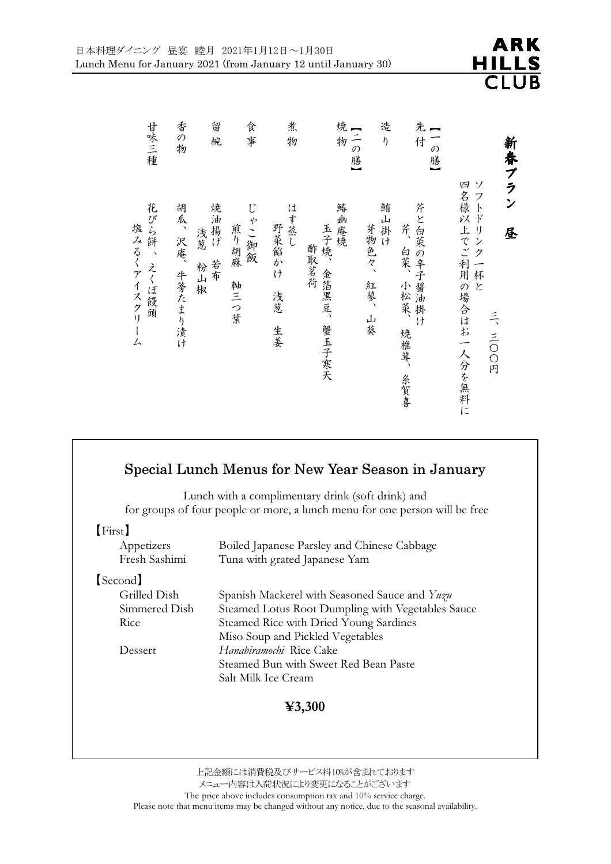| 甘味三種                            | 香の物           | 留<br>椀                  | 食<br>事                | 煮<br>物                    | 焼<br>二の膳】<br>物                          | 造<br>$\eta$            | 先付【一の膳】                                            | 新春プラン                                                  |
|---------------------------------|---------------|-------------------------|-----------------------|---------------------------|-----------------------------------------|------------------------|----------------------------------------------------|--------------------------------------------------------|
| 花びら餅 、 えくぼ饅頭<br>塩みるくアイスクリー<br>Δ | 胡瓜、沢庵、牛蒡たまり漬け | 焼油揚げ<br>浅葱<br>若布<br>粉山椒 | じゃこ御飯<br>煎り胡麻<br>軸三つ葉 | はす蒸し<br>野菜餡かけ<br>浅葱<br>生姜 | 鰆<br>"幽庵焼<br>玉子焼、金箔黑豆、<br>酢取茗荷<br>蟹玉子寒天 | 鮪山掛け<br>芽物色々、<br>紅蓼、山葵 | <b>芹と白菜の辛子醤油掛け</b><br>芹、白菜、<br>小松菜、<br>焼椎茸、<br>糸賀喜 | ソ<br>四名様以上でご利用の場合はお一人分を無料に<br>フトドリンク一杯と<br>昼<br>三、三OO円 |

## Special Lunch Menus for New Year Season in January

Lunch with a complimentary drink (soft drink) and for groups of four people or more, a lunch menu for one person will be free

#### 【First】

| Appetizers<br>Fresh Sashimi |                     | Boiled Japanese Parsley and Chinese Cabbage       |
|-----------------------------|---------------------|---------------------------------------------------|
|                             |                     | Tuna with grated Japanese Yam                     |
| [Second]                    |                     |                                                   |
| Grilled Dish                |                     | Spanish Mackerel with Seasoned Sauce and Yuzu     |
| Simmered Dish               |                     | Steamed Lotus Root Dumpling with Vegetables Sauce |
| Rice                        |                     | Steamed Rice with Dried Young Sardines            |
|                             |                     | Miso Soup and Pickled Vegetables                  |
| Dessert                     |                     | Hanabiramochi Rice Cake                           |
|                             |                     | Steamed Bun with Sweet Red Bean Paste             |
|                             | Salt Milk Ice Cream |                                                   |

### ¥3,300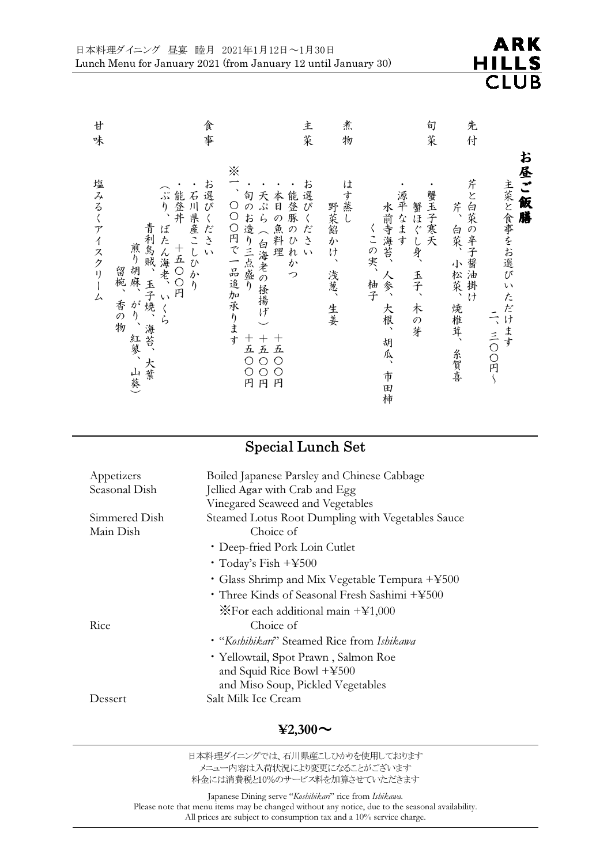甘 味 しゃ 塩みるくアイスクリーム

塩みるくアイスクリーム

廿 味

| 食事                                                                                                                                   | 主<br>菜                                                                                                                                                                            | 煮<br>物                           | 旬<br>菜                                                                      | 先<br>付                              |                                     |
|--------------------------------------------------------------------------------------------------------------------------------------|-----------------------------------------------------------------------------------------------------------------------------------------------------------------------------------|----------------------------------|-----------------------------------------------------------------------------|-------------------------------------|-------------------------------------|
| お選<br>・石川県産こしひかり<br>$\widehat{ii}$<br>能登井<br>り、ぼたん海老、いくら<br>びください<br>青利烏賊、玉子焼、海苔、大葉<br>十五〇〇円<br>煎り胡麻、<br>留椀、<br>香の物<br>がり、<br>紅蓼、山葵) | $\ddot{\times}$<br>お選<br>$\overline{\phantom{a}}$<br>能登豚のひれかつ<br>本<br>天ぷら( 白海老の掻揚げ ) +五〇本日の魚料理<br>○○○円で一品追加承ります<br>びください<br>Ō<br>$\overline{O}$<br>$\breve{\mathsf{H}}$<br>円<br>円 | は<br>す蒸し<br>野菜餡かけ、<br>浅葱、<br>中生姜 | 蟹玉子寒天<br>源平なます<br>蟹ほぐし身、<br>水前寺海苔、人参、大根、<br>くこの実、柚子<br>玉子、木の芽<br>胡瓜、<br>市田柿 | 芹と白菜の辛子醤油掛け<br>芹、白菜、<br>小松菜、焼椎茸、糸賀喜 | お昼ご飯膳<br>主菜と食事をお選びいただけます<br>ニ、三〇〇円〜 |

**ARK** 

HILLS<br>CLUB

# Special Lunch Set

| Appetizers<br>Seasonal Dish | Boiled Japanese Parsley and Chinese Cabbage<br>Jellied Agar with Crab and Egg<br>Vinegared Seaweed and Vegetables |
|-----------------------------|-------------------------------------------------------------------------------------------------------------------|
| Simmered Dish<br>Main Dish  | Steamed Lotus Root Dumpling with Vegetables Sauce<br>Choice of                                                    |
|                             | • Deep-fried Pork Loin Cutlet                                                                                     |
|                             | • Today's Fish $+\yen 500$                                                                                        |
|                             | • Glass Shrimp and Mix Vegetable Tempura +¥500                                                                    |
|                             | • Three Kinds of Seasonal Fresh Sashimi +¥500                                                                     |
|                             | $\mathcal{K}$ For each additional main +¥1,000                                                                    |
| Rice                        | Choice of                                                                                                         |
|                             | • "Koshihikari" Steamed Rice from Ishikawa                                                                        |
|                             | • Yellowtail, Spot Prawn, Salmon Roe                                                                              |
|                             | and Squid Rice Bowl $+4500$                                                                                       |
|                             | and Miso Soup, Pickled Vegetables                                                                                 |
| Dessert                     | Salt Milk Ice Cream                                                                                               |

### ¥2,300 $\sim$

日本料理ダイニングでは、石川県産こしひかりを使用しております メニュー内容は入荷状況により変更になることがございます 料金には消費税と10%のサービス料を加算させていただきます

Japanese Dining serve "Koshihikari" rice from Ishikawa. Please note that menu items may be changed without any notice, due to the seasonal availability. All prices are subject to consumption tax and a 10% service charge.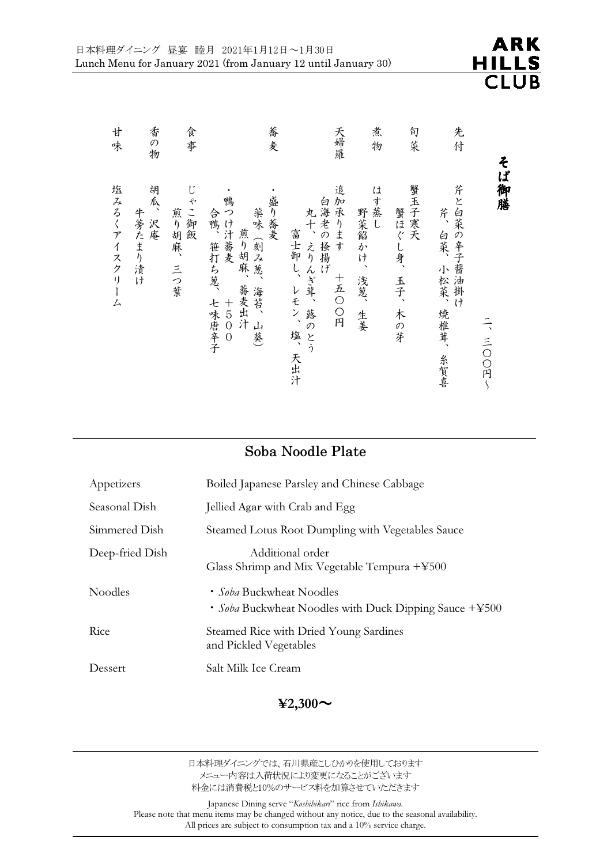| そば     | 御膳<br>ニ、三〇〇円〜                                                                       |
|--------|-------------------------------------------------------------------------------------|
| 先<br>付 | 芹と白菜の辛子醤油掛け<br>芹、白菜、小松菜、焼椎茸、<br>糸賀喜                                                 |
| 旬<br>菜 | 蟹玉子寒天<br>蟹ほぐし身、玉子、木の芽                                                               |
| 煮<br>物 | はす蒸し<br>野菜餡かけ、<br>浅葱、<br>生姜                                                         |
| 天婦羅    | 追加承ります<br>白海老の掻揚げ<br>丸十、えりんぎ茸、蕗のとう<br>富士卸し、レモン、塩、天出汁<br>十五〇〇円                       |
| 蕎<br>麦 | 鴨つけ汁蕎麦<br>盛り蕎麦<br>薬味(刻み葱、<br>合鴨、笹打ち葱、<br>煎り胡麻、<br>蕎麦出汁<br>海苔、山葵)<br>七味唐辛子<br>$+500$ |
| 食事     | じゃこ御飯<br>煎り胡麻、三つ葉                                                                   |
| 香の物    | 胡瓜、沢庵<br>牛蒡たまり漬け                                                                    |
| 甘味     | 塩みるくアイスクリーム                                                                         |

# Soba Noodle Plate

| Appetizers      | Boiled Japanese Parsley and Chinese Cabbage                                               |
|-----------------|-------------------------------------------------------------------------------------------|
| Seasonal Dish   | Jellied Agar with Crab and Egg                                                            |
| Simmered Dish   | Steamed Lotus Root Dumpling with Vegetables Sauce                                         |
| Deep-fried Dish | Additional order<br>Glass Shrimp and Mix Vegetable Tempura $+\frac{1}{2}500$              |
| <b>Noodles</b>  | • <i>Soba</i> Buckwheat Noodles<br>• Soba Buckwheat Noodles with Duck Dipping Sauce +¥500 |
| Rice            | Steamed Rice with Dried Young Sardines<br>and Pickled Vegetables                          |
| Dessert         | Salt Milk Ice Cream                                                                       |

### ¥2,300 $\sim$

日本料理ダイニングでは、石川県産こしひかりを使用しております メニュー内容は入荷状況により変更になることがございます 料金には消費税と10%のサービス料を加算させていただきます

Japanese Dining serve "Koshihikan" rice from Ishikawa. Please note that menu items may be changed without any notice, due to the seasonal availability. All prices are subject to consumption tax and a 10% service charge.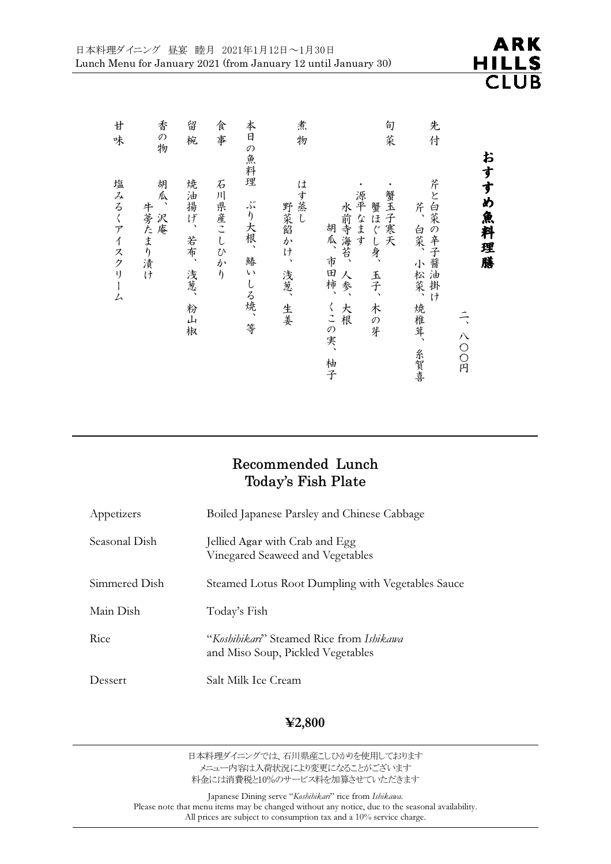| 廿<br>味                   | 香の物                  | 留<br>椀                              | 食事            | 本日の                             | 煮<br>物                          | 旬<br>茱                                                                                      | 先<br>付                                               |                      |  |
|--------------------------|----------------------|-------------------------------------|---------------|---------------------------------|---------------------------------|---------------------------------------------------------------------------------------------|------------------------------------------------------|----------------------|--|
| 塩<br>みるくアイスク<br>リーー<br>Д | 胡<br>瓜、沢庵<br>牛蒡たまり漬け | 焼<br>~油揚げ、<br>若布、<br>浅葱、<br>粉山<br>椒 | 石<br>川県産こしひかり | 魚料理<br>ぶり大根、<br>鰆<br>いしる焼、<br>等 | は<br>す蒸し<br>野菜餡かけ、<br>浅葱、<br>生姜 | 蟹玉子寒天<br>源平なます<br>蟹ほぐし身、<br>水前寺海苔、<br>胡瓜、<br>市田柿、<br>人参、<br>玉子、<br>くこの実、<br>木の芽<br>大根<br>柚子 | 芹と白菜の辛子醤<br>芹、<br>白菜、<br>小松菜、焼椎茸、<br>油<br>.掛け<br>糸賀喜 | おすすめ魚料理<br>膳<br>八〇〇円 |  |

## Recommended Lunch Today's Fish Plate

| Appetizers    | Boiled Japanese Parsley and Chinese Cabbage                                                  |
|---------------|----------------------------------------------------------------------------------------------|
| Seasonal Dish | Jellied Agar with Crab and Egg<br>Vinegared Seaweed and Vegetables                           |
| Simmered Dish | Steamed Lotus Root Dumpling with Vegetables Sauce                                            |
| Main Dish     | Today's Fish                                                                                 |
| Rice          | <i>"Koshihikari</i> " Steamed Rice from <i>Ishikawa</i><br>and Miso Soup, Pickled Vegetables |
| Dessert       | Salt Milk Ice Cream                                                                          |

## ¥2,800

日本料理ダイニングでは、石川県産こしひかりを使用しております メニュー内容は入荷状況により変更になることがございます 料金には消費税と10%のサービス料を加算させていただきます

Japanese Dining serve "Koshihikari" rice from Ishikawa. Please note that menu items may be changed without any notice, due to the seasonal availability. All prices are subject to consumption tax and a 10% service charge.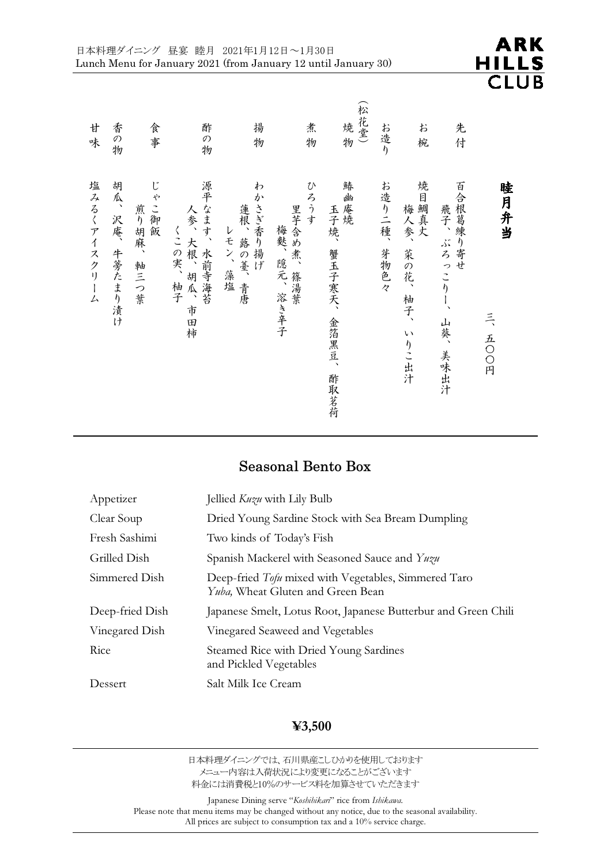|                    |                          |                                |                                                   | 日本料理ダイニング 昼宴 睦月 2021年1月12日~1月30日                    |                                                             | Lunch Menu for January 2021 (from January 12 until January 30) |                |                                                                          |                                                                       | ARK<br>S           |
|--------------------|--------------------------|--------------------------------|---------------------------------------------------|-----------------------------------------------------|-------------------------------------------------------------|----------------------------------------------------------------|----------------|--------------------------------------------------------------------------|-----------------------------------------------------------------------|--------------------|
| 廿<br>味             | 香<br>$\mathcal{O}$<br>物  | 食<br>事                         | 酢<br>$\mathcal{O}$<br>物                           | 揚<br>物                                              | 煮<br>物                                                      | (松花堂)                                                          | お造り            | お<br>椀                                                                   | 先<br>付                                                                | B                  |
| 塩<br>みるくアイスクリ<br>ム | 胡<br>瓜<br>沢庵、<br>牛蒡たまり漬け | ľ<br>ゃ<br>こ御飯<br>煎り胡麻、<br>軸三つ葉 | 源平なます、<br>人参、<br>くこの実、<br>大根、胡瓜、<br>柚子<br>市<br>田柿 | わ<br>か<br>さぎ香り揚げ<br>蓮根、<br>レモン、<br>蕗の薹、<br>藻塩<br>青唐 | $\mathcal{U}$<br>ろうす<br>里芋含め煮、<br>梅麩、<br>隐元、<br>篠湯葉<br>溶き辛子 | 鰆<br>幽<br>庵焼<br>玉子燒、<br>蟹玉子寒天、<br>金箔黑豆、<br>酢取茗荷                | お造り二種、<br>芽物色々 | 焼目<br>1鯛真丈<br>梅人参、<br>菜の花、<br>柚子、<br>$\boldsymbol{\mathsf{V}}$ )<br>りこ出汁 | 百合根葛練り寄せ<br>飛子、<br>ぶろ<br>っこり<br>$\boldsymbol{\lambda}$<br>山葵、<br>美味出汁 | 睦<br>月弁当<br>三、五〇〇円 |

## Seasonal Bento Box

| Appetizer       | Jellied <i>Kuzu</i> with Lily Bulb                                                                       |
|-----------------|----------------------------------------------------------------------------------------------------------|
| Clear Soup      | Dried Young Sardine Stock with Sea Bream Dumpling                                                        |
| Fresh Sashimi   | Two kinds of Today's Fish                                                                                |
| Grilled Dish    | Spanish Mackerel with Seasoned Sauce and Yuzu                                                            |
| Simmered Dish   | Deep-fried <i>Tofu</i> mixed with Vegetables, Simmered Taro<br><i>Yuba</i> , Wheat Gluten and Green Bean |
| Deep-fried Dish | Japanese Smelt, Lotus Root, Japanese Butterbur and Green Chili                                           |
| Vinegared Dish  | Vinegared Seaweed and Vegetables                                                                         |
| Rice            | Steamed Rice with Dried Young Sardines<br>and Pickled Vegetables                                         |
| Dessert         | Salt Milk Ice Cream                                                                                      |

### ¥3,500

日本料理ダイニングでは、石川県産こしひかりを使用しております メニュー内容は入荷状況により変更になることがございます 料金には消費税と10%のサービス料を加算させていただきます

Japanese Dining serve "Koshihikan" rice from Ishikawa. Please note that menu items may be changed without any notice, due to the seasonal availability. All prices are subject to consumption tax and a 10% service charge.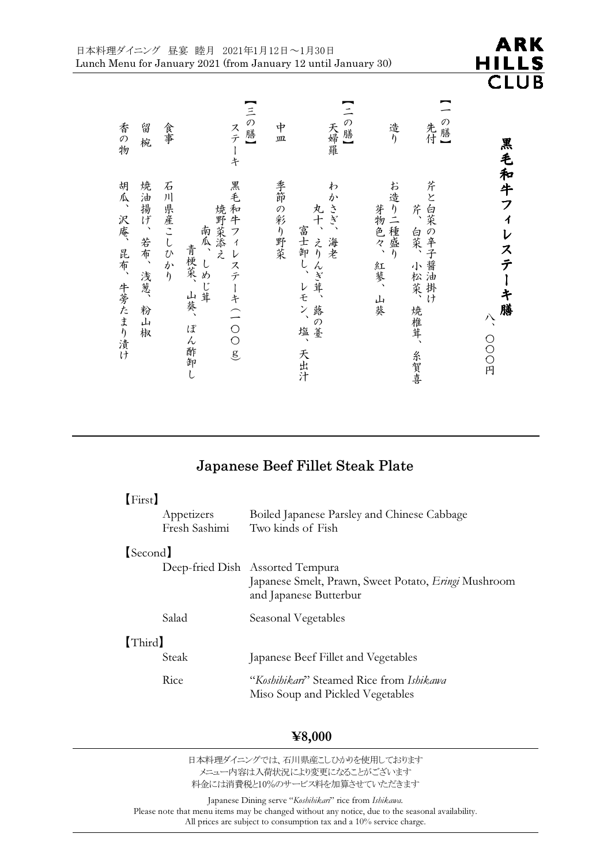| 香の物              | 留<br>椀                 | 食事        | 【三の膳】<br>ステーキ                                                  | 中<br>血  | の膳】<br>天婦羅                                                    | 造り                                                       | の膳】<br>先付          |                           |
|------------------|------------------------|-----------|----------------------------------------------------------------|---------|---------------------------------------------------------------|----------------------------------------------------------|--------------------|---------------------------|
| 胡瓜、沢庵、昆布、牛蒡たまり漬け | 焼<br>油揚げ、若布、浅葱、<br>粉山椒 | 石川県産こしひかり | 黒毛和牛フィレステーキ (一〇〇g)<br>焼野菜添え<br>南瓜、しめじ茸<br>青梗菜、<br>山葵、<br>ぽん酢卸し | 季節の彩り野菜 | わ<br>かさぎ、<br>丸十、<br>富士卸し、レモン、塩、<br>海老<br>えりんぎ茸、<br>蕗の薹<br>天出汁 | お造り二種盛り<br>芽物色々、紅蓼、<br>芹<br>白菜、<br>小松菜、焼椎茸、<br>山葵<br>糸賀喜 | <b>芹と白菜の辛子醤油掛け</b> | 黒毛和牛フィレステーキ膳<br>亽<br>○○○円 |

## Japanese Beef Fillet Steak Plate

| [First]  | Appetizers<br>Fresh Sashimi | Boiled Japanese Parsley and Chinese Cabbage<br>Two kinds of Fish                                                   |
|----------|-----------------------------|--------------------------------------------------------------------------------------------------------------------|
| [Second] |                             |                                                                                                                    |
|          |                             | Deep-fried Dish Assorted Tempura<br>Japanese Smelt, Prawn, Sweet Potato, Eringi Mushroom<br>and Japanese Butterbur |
|          | Salad                       | Seasonal Vegetables                                                                                                |
| [Third]  |                             |                                                                                                                    |
|          | Steak                       | Japanese Beef Fillet and Vegetables                                                                                |
|          | Rice                        | "Koshihikari" Steamed Rice from Ishikawa<br>Miso Soup and Pickled Vegetables                                       |

## ¥8,000

日本料理ダイニングでは、石川県産こしひかりを使用しております メニュー内容は入荷状況により変更になることがございます 料金には消費税と10%のサービス料を加算させていただきます

Japanese Dining serve "Koshihikan" rice from Ishikawa. Please note that menu items may be changed without any notice, due to the seasonal availability. All prices are subject to consumption tax and a 10% service charge.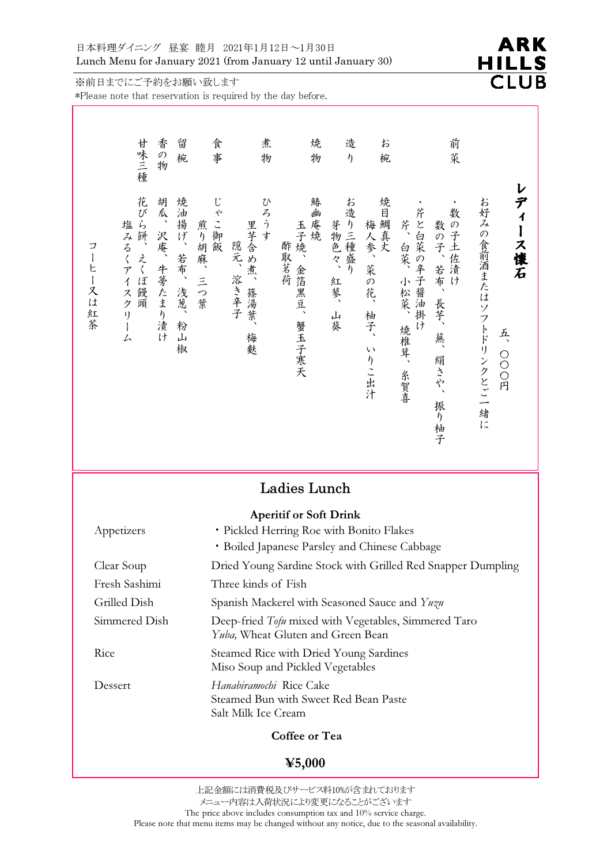※前日までにご予約をお願い致します

\*Please note that reservation is required by the day before.

|                                                                                                                                          | 甘味三種                                                               | 香の                                | 留<br>椀                                  | 食<br>事                                                      | 煮<br>物                                                   | 焼<br>物                                   | 造<br>$\eta$                       | お<br>椀                                             |                                                 | 前<br>菜                                        |                        |                     |
|------------------------------------------------------------------------------------------------------------------------------------------|--------------------------------------------------------------------|-----------------------------------|-----------------------------------------|-------------------------------------------------------------|----------------------------------------------------------|------------------------------------------|-----------------------------------|----------------------------------------------------|-------------------------------------------------|-----------------------------------------------|------------------------|---------------------|
|                                                                                                                                          |                                                                    | 物                                 |                                         |                                                             |                                                          |                                          |                                   |                                                    |                                                 |                                               |                        |                     |
| $\mathcal{I}_{\mathcal{L}}$<br>$\begin{array}{c} \hline \end{array}$<br>ヒ<br>$\mathsf{l}$<br>又<br>l<br>紅茶                                | 花<br>$\overline{U}$<br>ら餅、<br>塩みるくアイ<br>えくぼ饅<br>スク<br>頭<br>ίJ<br>ム | 胡瓜<br>沢庵、牛蒡たまり漬<br>l <sub>1</sub> | 燒油<br>:揚げ、<br>若布、<br>浅葱、<br>粉<br>山<br>椒 | ľ<br>Þ<br>こ御<br>煎り胡麻、三つ葉                                    | $\mathcal{U}$<br>ろうす<br>- 隠元、溶き辛子里芋含め煮、篠湯葦<br>篠湯葉、<br>梅麩 | 鰆<br>幽<br>玉子焼、<br>酢取茗荷<br>金箔黑豆、<br>蟹玉子寒天 | お造<br>り三種盛り<br>芽物色々、<br>紅蓼、<br>山葵 | 焼<br>- 梅人参、菜のキミ<br>花、<br>柚子、<br>$\sqrt{ }$<br>りこ出汁 | 芹と白菜の辛子<br>芹<br>白菜、<br>小松菜、<br>l<br>焼椎茸、<br>糸賀喜 | 数<br>数の子、若布、<br>長芋、<br>蕪、<br>絹さや、<br>振り<br>柚子 | お好みの食前酒またはソフトドリンクとご一緒に | ディース懐石<br>乓<br>OOO円 |
| Ladies Lunch                                                                                                                             |                                                                    |                                   |                                         |                                                             |                                                          |                                          |                                   |                                                    |                                                 |                                               |                        |                     |
| <b>Aperitif or Soft Drink</b><br>· Pickled Herring Roe with Bonito Flakes<br>Appetizers<br>· Boiled Japanese Parsley and Chinese Cabbage |                                                                    |                                   |                                         |                                                             |                                                          |                                          |                                   |                                                    |                                                 |                                               |                        |                     |
| Clear Soup                                                                                                                               |                                                                    |                                   |                                         | Dried Young Sardine Stock with Grilled Red Snapper Dumpling |                                                          |                                          |                                   |                                                    |                                                 |                                               |                        |                     |
| Fresh Sashimi                                                                                                                            |                                                                    |                                   |                                         | Three kinds of Fish                                         |                                                          |                                          |                                   |                                                    |                                                 |                                               |                        |                     |
| Grilled Dish                                                                                                                             |                                                                    |                                   |                                         | Spanish Mackerel with Seasoned Sauce and Yuzu               |                                                          |                                          |                                   |                                                    |                                                 |                                               |                        |                     |

Simmered Dish Deep-fried Tofu mixed with Vegetables, Simmered Taro Yuba, Wheat Gluten and Green Bean

Rice Steamed Rice with Dried Young Sardines Miso Soup and Pickled Vegetables and the contract of the contract of the

Dessert Hanabiramochi Rice Cake Steamed Bun with Sweet Red Bean Paste Salt Milk Ice Cream

Coffee or Tea

## ¥5,000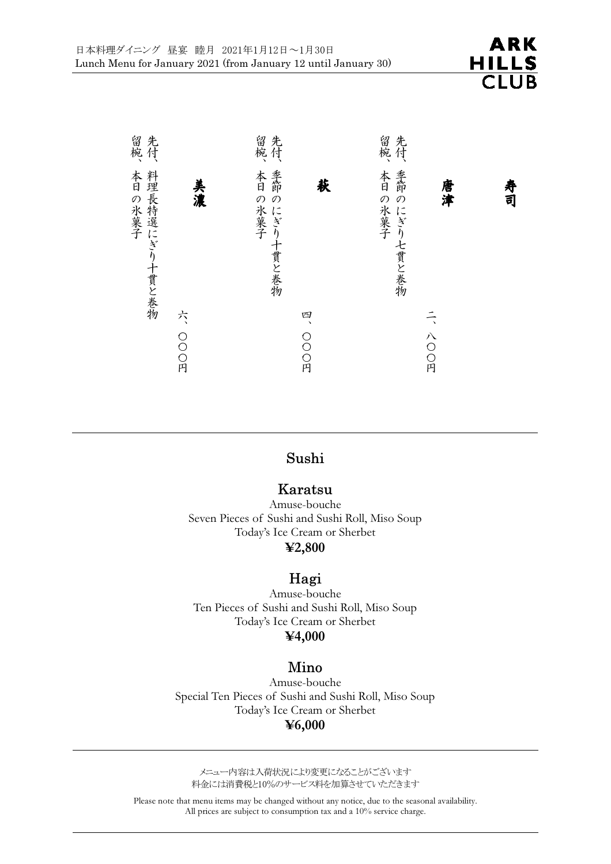

ARK **HILLS CLUB** 

### Sushi

### Karatsu

Amuse-bouche Seven Pieces of Sushi and Sushi Roll, Miso Soup Today's Ice Cream or Sherbet ¥2,800

#### Hagi

Amuse-bouche Ten Pieces of Sushi and Sushi Roll, Miso Soup Today's Ice Cream or Sherbet ¥4,000

#### Mino

Amuse-bouche Special Ten Pieces of Sushi and Sushi Roll, Miso Soup Today's Ice Cream or Sherbet ¥6,000

メニュー内容は入荷状況により変更になることがございます 料金には消費税と10%のサービス料を加算させていただきます

Please note that menu items may be changed without any notice, due to the seasonal availability. All prices are subject to consumption tax and a 10% service charge.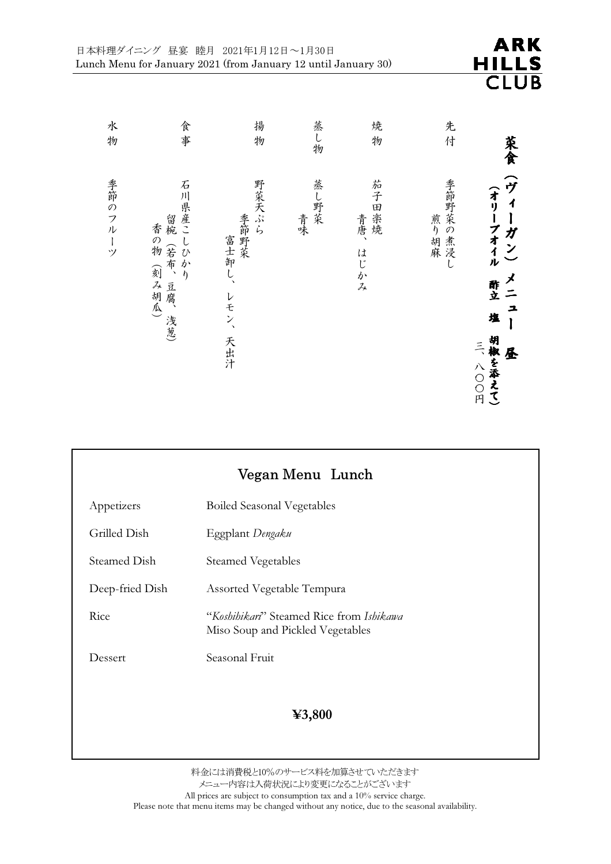|             |                                                                                           | 日本料理ダイニング 昼宴 睦月 2021年1月12日~1月30日<br>Lunch Menu for January 2021 (from January 12 until January 30) |            |                      |                            | ARK<br>S                                                                                      |
|-------------|-------------------------------------------------------------------------------------------|----------------------------------------------------------------------------------------------------|------------|----------------------|----------------------------|-----------------------------------------------------------------------------------------------|
|             |                                                                                           |                                                                                                    |            |                      |                            | <b>CLUB</b>                                                                                   |
| 水<br>物      | 食事                                                                                        | 揚<br>物                                                                                             | 蒸し物        | 焼<br>物               | 先<br>付                     | 菜食                                                                                            |
| 季節のフルー<br>ッ | 石<br>川県産こ<br>留椀<br>香の物<br>(若布、<br>$\mathcal{U}$<br>$\phi$<br>(刻み胡瓜)<br>$\eta$<br>豆腐<br>浅葱 | 野菜天ぷら<br>季節野菜<br>富士卸し、<br>レモン、<br>天出汁                                                              | 蒸し野菜<br>青味 | 茄子田楽焼<br>青唐、<br>はじかみ | 季節野菜の煮浸,<br>$\overline{L}$ | ア<br>イリ<br>1<br>ーガン)<br>ープオイル<br>酢立<br>그<br>塩<br>胡椒を添えて)<br>$\frac{1}{\sqrt{2}}$<br>昼<br>八〇〇円 |

|                                                     | Vegan Menu Lunch                                                             |  |  |  |  |
|-----------------------------------------------------|------------------------------------------------------------------------------|--|--|--|--|
| Appetizers                                          | <b>Boiled Seasonal Vegetables</b>                                            |  |  |  |  |
| Grilled Dish                                        | Eggplant Dengaku                                                             |  |  |  |  |
| <b>Steamed Dish</b>                                 | <b>Steamed Vegetables</b>                                                    |  |  |  |  |
| Deep-fried Dish                                     | Assorted Vegetable Tempura                                                   |  |  |  |  |
| Rice                                                | "Koshihikari" Steamed Rice from Ishikawa<br>Miso Soup and Pickled Vegetables |  |  |  |  |
| Dessert                                             | Seasonal Fruit                                                               |  |  |  |  |
|                                                     |                                                                              |  |  |  |  |
| $\textcolor{blue}{\boldsymbol{\mathfrak{X}}}$ 3,800 |                                                                              |  |  |  |  |
|                                                     |                                                                              |  |  |  |  |

料金には消費税と10%のサービス料を加算させていただきます メニュー内容は入荷状況により変更になることがございます All prices are subject to consumption tax and a 10% service charge. Please note that menu items may be changed without any notice, due to the seasonal availability.